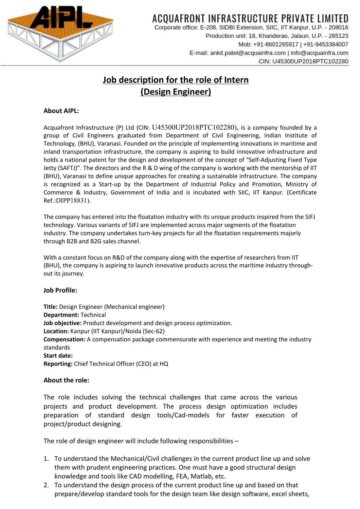

# ACOUAFRONT INFRASTRUCTURE PRIVATE LIMITED

Corporate office: E-208, SIDBI Extension, SIIC, IIT Kanpur, U.P. - 208016 Production unit: 18, Khanderao, Jalaun, U.P. - 285123 Mob: +91-8601265917 | +91-9453384007 E-mail: ankit.patel@acquainfra.com | info@acquainfra.com CIN: U45300UP2018PTC102280

### **Job description for the role of Intern (Design Engineer)**

### **About AIPL:**

Acquafront Infrastructure (P) Ltd (CIN: U45300UP2018PTC102280), is a company founded by a group of Civil Engineers graduated from Department of Civil Engineering, Indian Institute of Technology, (BHU), Varanasi. Founded on the principle of implementing innovations in maritime and inland transportation infrastructure, the company is aspiring to build innovative infrastructure and holds a national patent for the design and development of the concept of "Self-Adjusting Fixed Type Jetty (SAFTJ)". The directors and the R & D wing of the company is working with the mentorship of IIT (BHU), Varanasi to define unique approaches for creating a sustainable infrastructure. The company is recognized as a Start-up by the Department of Industrial Policy and Promotion, Ministry of Commerce & Industry, Government of India and is incubated with SIIC, IIT Kanpur. (Certificate Ref.:DIPP18831).

The company has entered into the floatation industry with its unique products inspired from the SIFJ technology. Various variants of SIFJ are implemented across major segments of the floatation industry. The company undertakes turn-key projects for all the floatation requirements majorly through B2B and B2G sales channel.

With a constant focus on R&D of the company along with the expertise of researchers from IIT (BHU), the company is aspiring to launch innovative products across the maritime industry throughout its journey.

#### **Job Profile:**

**Title:** Design Engineer (Mechanical engineer) **Department:** Technical **Job objective:** Product development and design process optimization. **Location:** Kanpur (IIT Kanpur)/Noida (Sec-62) **Compensation:** A compensation package commensurate with experience and meeting the industry standards **Start date: Reporting:** Chief Technical Officer (CEO) at HQ

#### **About the role:**

The role includes solving the technical challenges that came across the various projects and product development. The process design optimization includes preparation of standard design tools/Cad-models for faster execution of project/product designing.

The role of design engineer will include following responsibilities –

- 1. To understand the Mechanical/Civil challenges in the current product line up and solve them with prudent engineering practices. One must have a good structural design knowledge and tools like CAD modelling, FEA, Matlab, etc.
- 2. To understand the design process of the current product line up and based on that prepare/develop standard tools for the design team like design software, excel sheets,